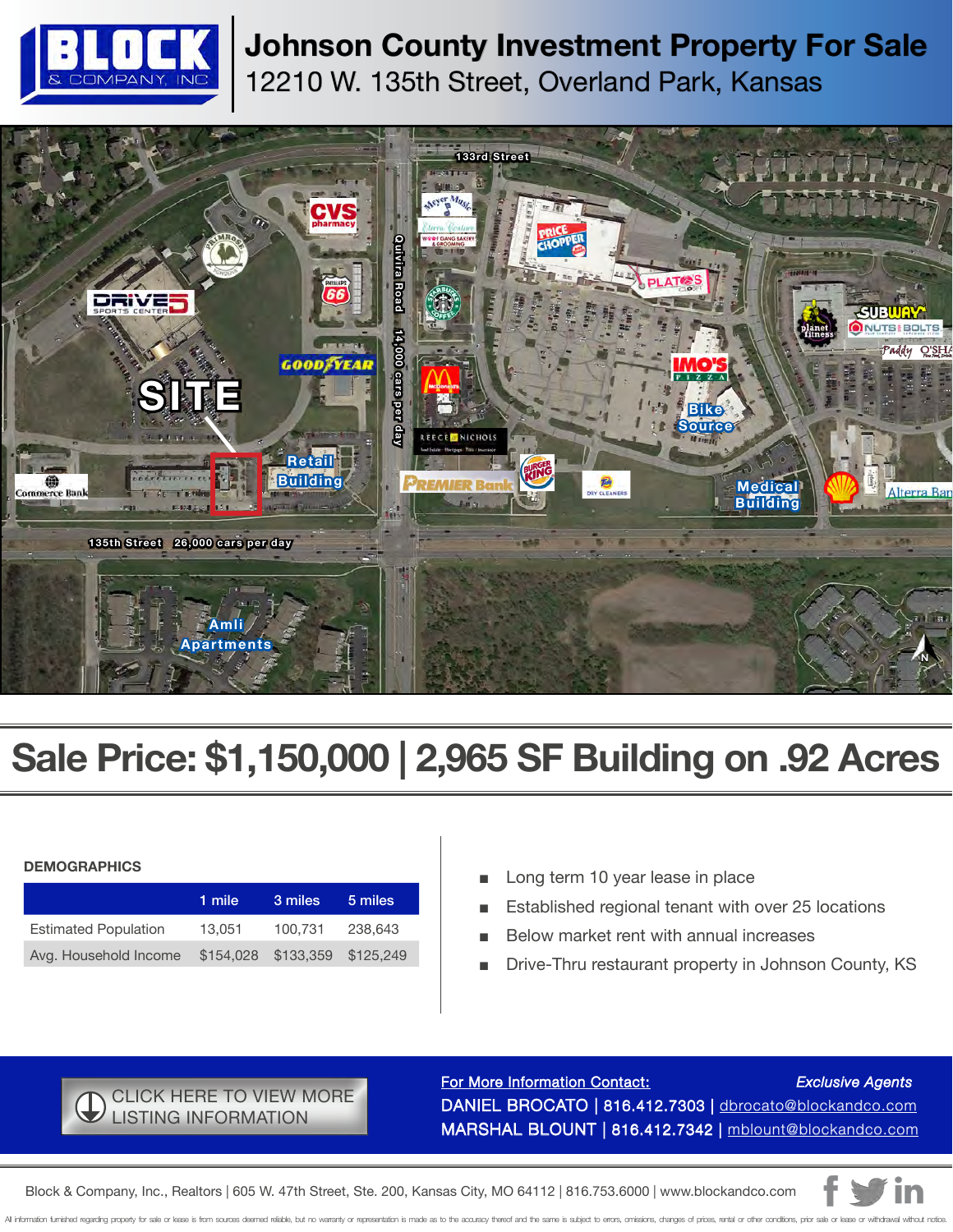

## **Johnson County Investment Property For Sale** 12210 W. 135th Street, Overland Park, Kansas



# **Sale Price: \$1,150,000 | 2,965 SF Building on .92 Acres**

#### **DEMOGRAPHICS**

|                             | 1 mile | 3 miles             | 5 miles   |
|-----------------------------|--------|---------------------|-----------|
| <b>Estimated Population</b> | 13.051 | 100.731             | 238,643   |
| Avg. Household Income       |        | \$154,028 \$133,359 | \$125.249 |

- Long term 10 year lease in place
- Established regional tenant with over 25 locations
- Below market rent with annual increases
- Drive-Thru restaurant property in Johnson County, KS

### [CLICK HERE TO VIEW MORE](https://www.blockandco.com/kc/listings/display=860)  LISTING INFORMATION

For More Information Contact: *Exclusive Agents* [DANIEL BROCATO | 816.412.7303 | dbrocato@blockandco.com](mailto:dbrocato%40blockandco.com?subject=) [MARSHAL BLOUNT | 816.412.7342 | mblount@blockandco.com](mailto:mblount%40blockandco.com?subject=)

[Block & Company, Inc., Realtors | 605 W. 47th Street, Ste. 200, Kansas City, MO 64112 | 816.753.6000 | www.blockandco.com](http://www.blockandco.com)

All information furnished regarding property for sale or lease is from sources deemed reliable, but no warranty or representation is made as to the accuracy thereof and the same is subject to errors, omissions, changes of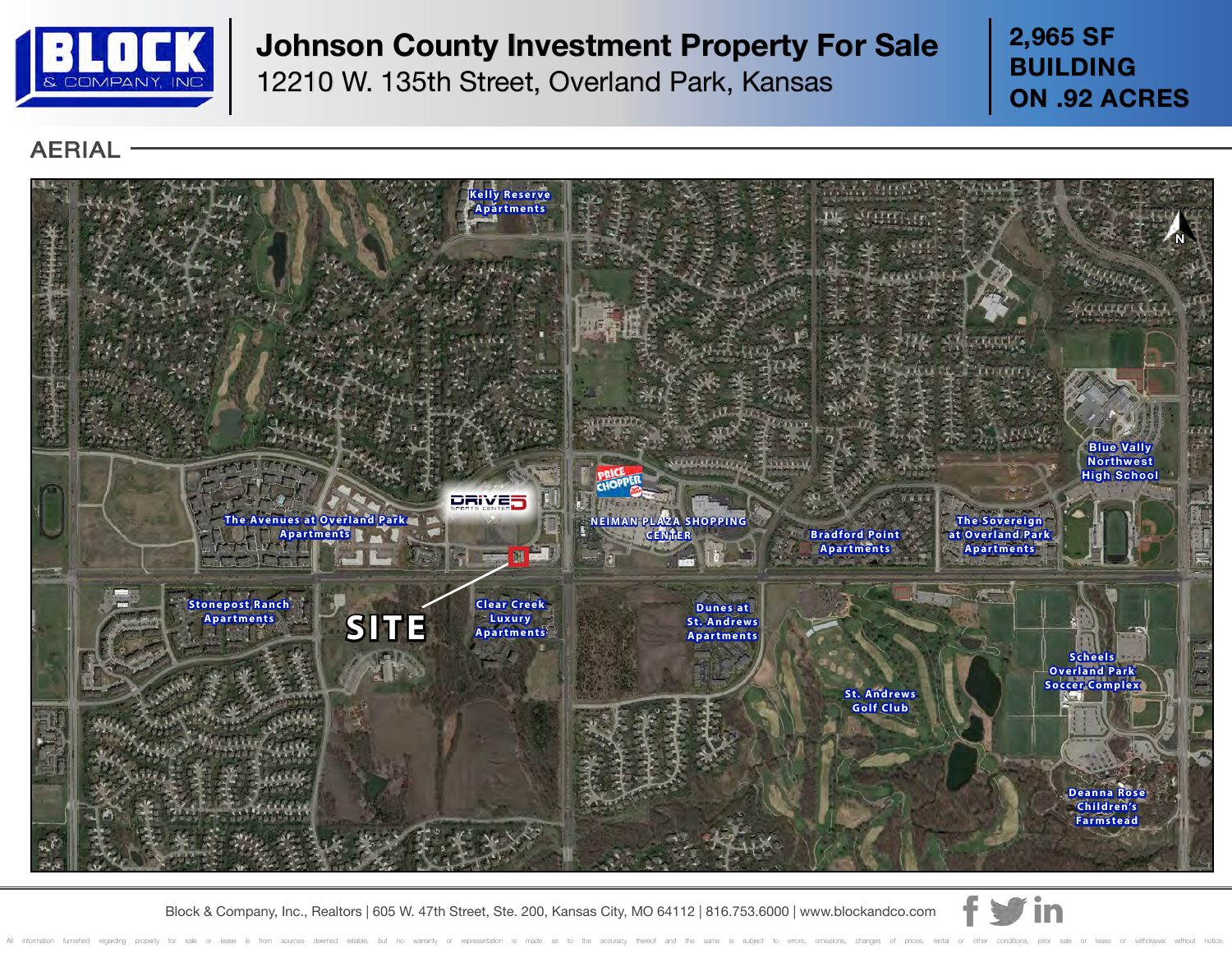

## **Johnson County Investment Property For Sale**

12210 W. 135th Street, Overland Park, Kansas

**2,965 SF BUILDING ON .92 ACRES**

### AERIAL



[Block & Company, Inc., Realtors | 605 W. 47th Street, Ste. 200, Kansas City, MO 64112 | 816.753.6000 | www.blockandco.com](http://www.blockandco.com)

All information furnished regarding property for sale or lease is from sources deemed reliable, but no warranty or representation is made as to the accuracy thereof and the same is subject to errors, omissions, changes of

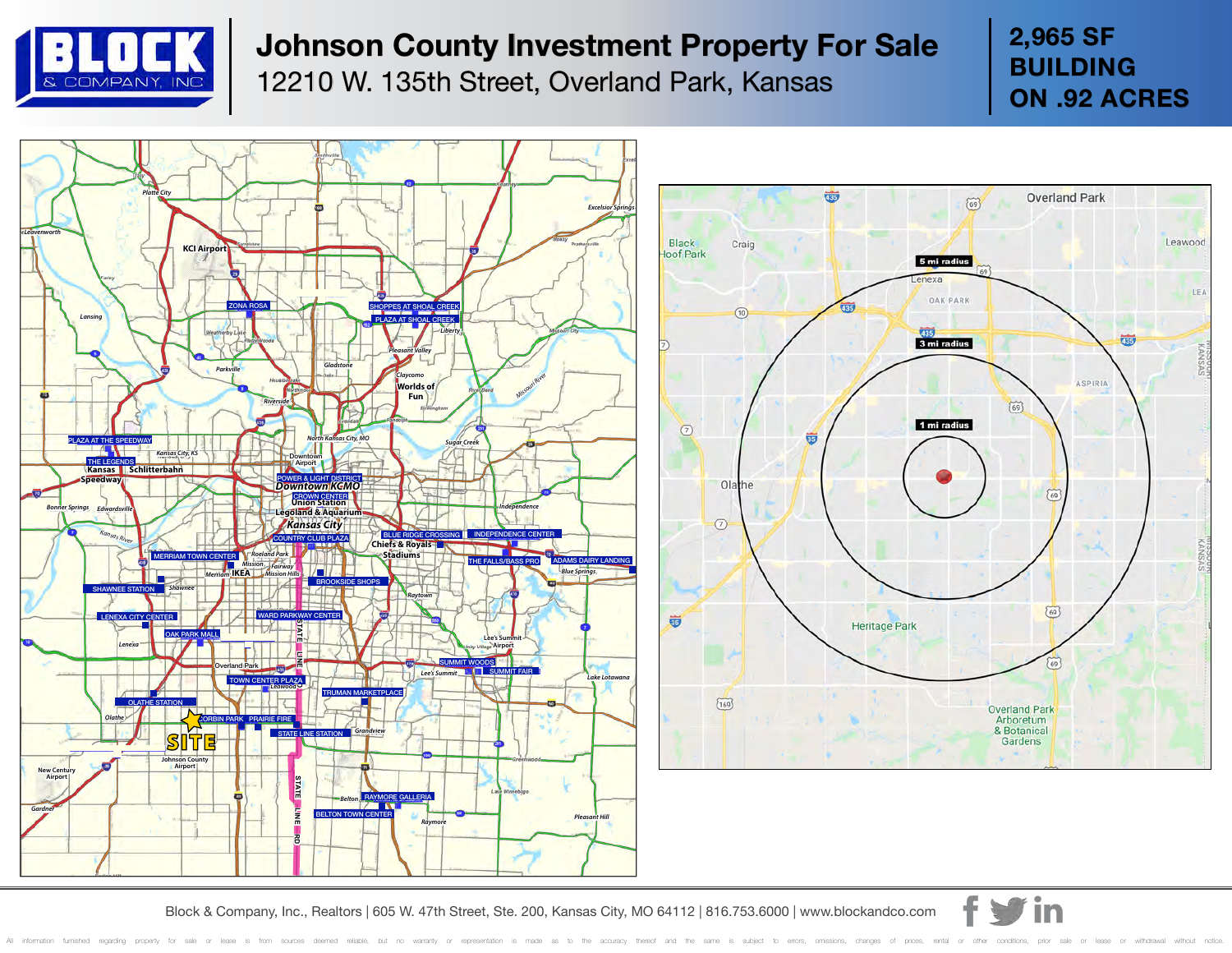

# **Johnson County Investment Property For Sale**

12210 W. 135th Street, Overland Park, Kansas

**2,965 SF BUILDING ON .92 ACRES**





[Block & Company, Inc., Realtors | 605 W. 47th Street, Ste. 200, Kansas City, MO 64112 | 816.753.6000 | www.blockandco.com](http://www.blockandco.com)

All information furnished regarding property for sale or lease is from sources deemed reliable, but no warranty or representation is made as to the accuracy thereof and the same is subject to errors, omissions, changes of